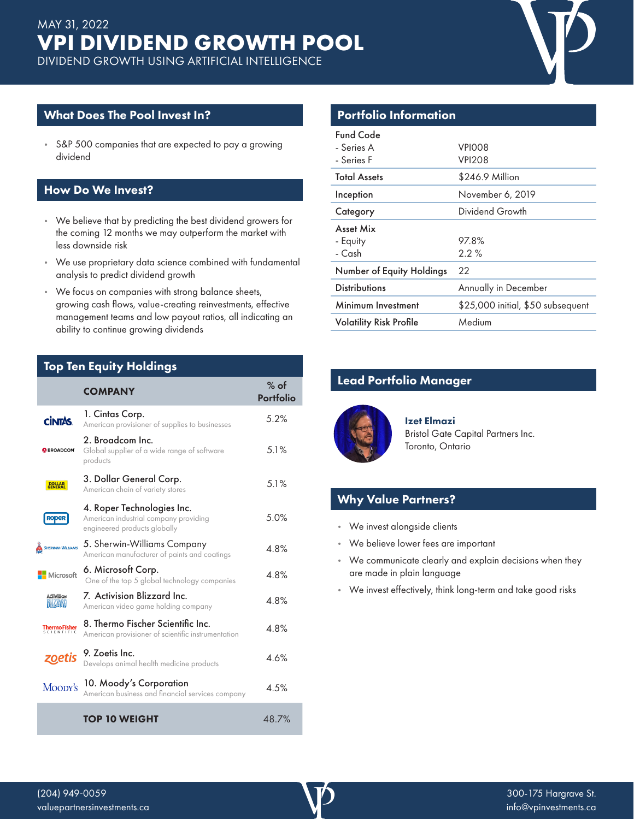

#### What Does The Pool Invest In?

• S&P 500 companies that are expected to pay a growing dividend

#### How Do We Invest?

- We believe that by predicting the best dividend growers for the coming 12 months we may outperform the market with less downside risk
- We use proprietary data science combined with fundamental analysis to predict dividend growth
- We focus on companies with strong balance sheets, growing cash flows, value-creating reinvestments, effective management teams and low payout ratios, all indicating an ability to continue growing dividends

### Top Ten Equity Holdings

|                                   | <b>COMPANY</b>                                                                                      | $%$ of<br>Portfolio |
|-----------------------------------|-----------------------------------------------------------------------------------------------------|---------------------|
| <b>CİNTÁS.</b>                    | 1. Cintas Corp.<br>American provisioner of supplies to businesses                                   | 5.2%                |
| <b>BROADCOM</b>                   | 2. Broadcom Inc.<br>Global supplier of a wide range of software<br>products                         | 5.1%                |
| <b>DOLLAR</b><br>GENERAL          | 3. Dollar General Corp.<br>American chain of variety stores                                         | 5.1%                |
|                                   | 4. Roper Technologies Inc.<br>American industrial company providing<br>engineered products globally | 5.0%                |
| SHERWIN-WILLIAMS.                 | 5. Sherwin-Williams Company<br>American manufacturer of paints and coatings                         | 4.8%                |
| Microsoft                         | 6. Microsoft Corp.<br>One of the top 5 global technology companies                                  | 4.8%                |
| ACIIVISION<br><b>MILIANI</b>      | 7. Activision Blizzard Inc.<br>American video game holding company                                  | 4.8%                |
| <b>ThermoFisher</b><br>scientific | 8. Thermo Fischer Scientific Inc.<br>American provisioner of scientific instrumentation             | 4.8%                |
| zoetis                            | 9. Zoetis Inc.<br>Develops animal health medicine products                                          | 4.6%                |
| Moody's                           | 10. Moody's Corporation<br>American business and financial services company                         | 4.5%                |
|                                   | <b>TOP 10 WEIGHT</b>                                                                                | 48.7%               |

# Portfolio Information

| Fund Code<br>- Series A<br>- Series F | VPIOO8<br><b>VPI208</b>           |
|---------------------------------------|-----------------------------------|
| <b>Total Assets</b>                   | \$246.9 Million                   |
| Inception                             | November 6, 2019                  |
| Category                              | Dividend Growth                   |
| Asset Mix                             |                                   |
| - Equity                              | 97.8%                             |
| - Cash                                | $2.2\%$                           |
| Number of Equity Holdings             | 22                                |
| <b>Distributions</b>                  | Annually in December              |
| Minimum Investment                    | \$25,000 initial, \$50 subsequent |
| <b>Volatility Risk Profile</b>        | Medium                            |
|                                       |                                   |

# Lead Portfolio Manager



Izet Elmazi Bristol Gate Capital Partners Inc. Toronto, Ontario

#### Why Value Partners?

- We invest alongside clients
- We believe lower fees are important
- We communicate clearly and explain decisions when they are made in plain language
- We invest effectively, think long-term and take good risks